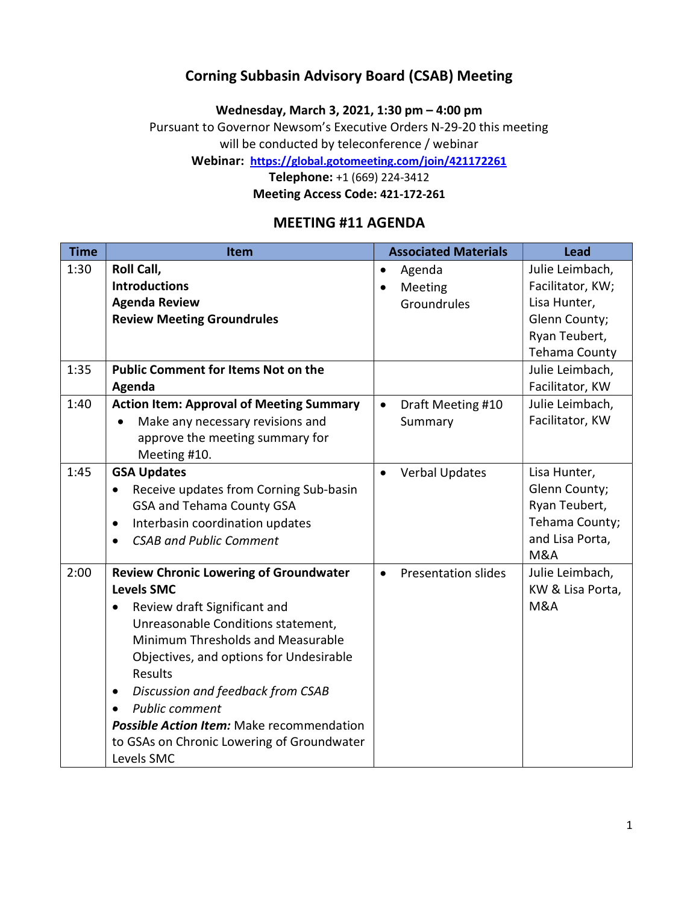## Corning Subbasin Advisory Board (CSAB) Meeting

Wednesday, March 3, 2021, 1:30 pm – 4:00 pm

Pursuant to Governor Newsom's Executive Orders N-29-20 this meeting

will be conducted by teleconference / webinar

Webinar: https://global.gotomeeting.com/join/421172261

Telephone: +1 (669) 224-3412

Meeting Access Code: 421-172-261

### MEETING #11 AGENDA

| <b>Time</b> | <b>Item</b>                                      | <b>Associated Materials</b>             | <b>Lead</b>      |
|-------------|--------------------------------------------------|-----------------------------------------|------------------|
| 1:30        | Roll Call,                                       | Agenda<br>$\bullet$                     | Julie Leimbach,  |
|             | <b>Introductions</b>                             | Meeting<br>$\bullet$                    | Facilitator, KW; |
|             | <b>Agenda Review</b>                             | Groundrules                             | Lisa Hunter,     |
|             | <b>Review Meeting Groundrules</b>                |                                         | Glenn County;    |
|             |                                                  |                                         | Ryan Teubert,    |
|             |                                                  |                                         | Tehama County    |
| 1:35        | <b>Public Comment for Items Not on the</b>       |                                         | Julie Leimbach,  |
|             | Agenda                                           |                                         | Facilitator, KW  |
| 1:40        | <b>Action Item: Approval of Meeting Summary</b>  | Draft Meeting #10<br>$\bullet$          | Julie Leimbach,  |
|             | Make any necessary revisions and<br>$\bullet$    | Summary                                 | Facilitator, KW  |
|             | approve the meeting summary for                  |                                         |                  |
|             | Meeting #10.                                     |                                         |                  |
| 1:45        | <b>GSA Updates</b>                               | <b>Verbal Updates</b><br>$\bullet$      | Lisa Hunter,     |
|             | Receive updates from Corning Sub-basin           |                                         | Glenn County;    |
|             | <b>GSA and Tehama County GSA</b>                 |                                         | Ryan Teubert,    |
|             | Interbasin coordination updates<br>$\bullet$     |                                         | Tehama County;   |
|             | <b>CSAB and Public Comment</b><br>$\bullet$      |                                         | and Lisa Porta,  |
|             |                                                  |                                         | <b>M&amp;A</b>   |
| 2:00        | <b>Review Chronic Lowering of Groundwater</b>    | <b>Presentation slides</b><br>$\bullet$ | Julie Leimbach,  |
|             | <b>Levels SMC</b>                                |                                         | KW & Lisa Porta, |
|             | Review draft Significant and                     |                                         | <b>M&amp;A</b>   |
|             | Unreasonable Conditions statement,               |                                         |                  |
|             | Minimum Thresholds and Measurable                |                                         |                  |
|             | Objectives, and options for Undesirable          |                                         |                  |
|             | Results                                          |                                         |                  |
|             | Discussion and feedback from CSAB<br>$\bullet$   |                                         |                  |
|             | <b>Public comment</b><br>$\bullet$               |                                         |                  |
|             | <b>Possible Action Item:</b> Make recommendation |                                         |                  |
|             | to GSAs on Chronic Lowering of Groundwater       |                                         |                  |
|             | Levels SMC                                       |                                         |                  |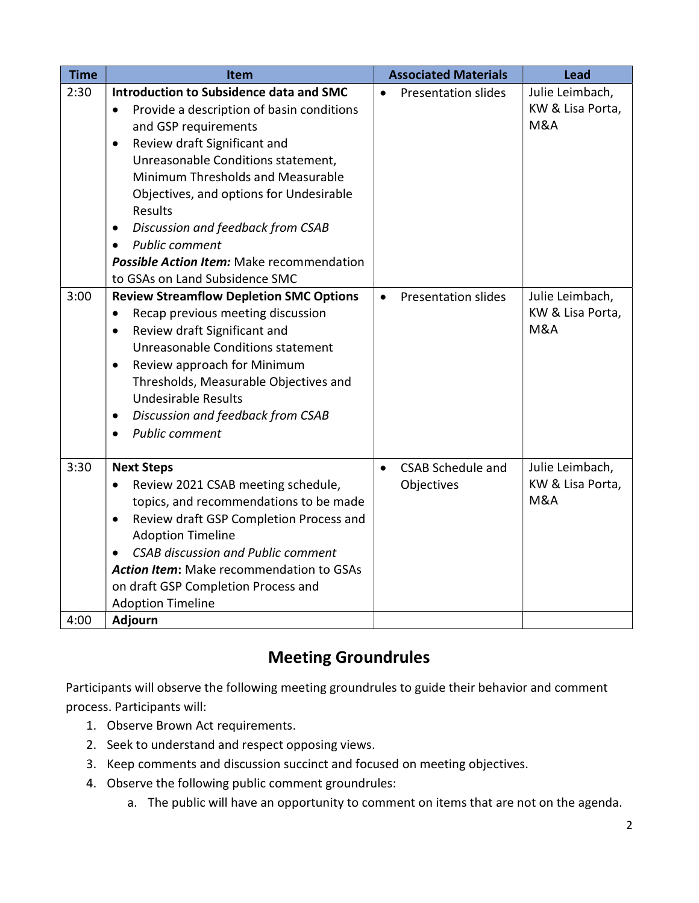| 2:30<br>Introduction to Subsidence data and SMC<br>$\bullet$<br>Provide a description of basin conditions<br>$\bullet$<br>and GSP requirements<br>Review draft Significant and<br>$\bullet$<br>Unreasonable Conditions statement,<br>Minimum Thresholds and Measurable<br>Objectives, and options for Undesirable<br>Results<br>Discussion and feedback from CSAB<br>$\bullet$<br><b>Public comment</b><br>$\bullet$              | <b>Presentation slides</b>             | Julie Leimbach,<br>KW & Lisa Porta,<br>M&A            |
|-----------------------------------------------------------------------------------------------------------------------------------------------------------------------------------------------------------------------------------------------------------------------------------------------------------------------------------------------------------------------------------------------------------------------------------|----------------------------------------|-------------------------------------------------------|
| Possible Action Item: Make recommendation<br>to GSAs on Land Subsidence SMC                                                                                                                                                                                                                                                                                                                                                       |                                        |                                                       |
| 3:00<br><b>Review Streamflow Depletion SMC Options</b><br>$\bullet$<br>Recap previous meeting discussion<br>$\bullet$<br>Review draft Significant and<br>$\bullet$<br>Unreasonable Conditions statement<br>Review approach for Minimum<br>$\bullet$<br>Thresholds, Measurable Objectives and<br><b>Undesirable Results</b><br>Discussion and feedback from CSAB<br>$\bullet$<br><b>Public comment</b><br>$\bullet$                | <b>Presentation slides</b>             | Julie Leimbach,<br>KW & Lisa Porta,<br><b>M&amp;A</b> |
| 3:30<br><b>Next Steps</b><br>$\bullet$<br>Review 2021 CSAB meeting schedule,<br>$\bullet$<br>topics, and recommendations to be made<br>Review draft GSP Completion Process and<br>$\bullet$<br><b>Adoption Timeline</b><br><b>CSAB discussion and Public comment</b><br>$\bullet$<br><b>Action Item:</b> Make recommendation to GSAs<br>on draft GSP Completion Process and<br><b>Adoption Timeline</b><br>4:00<br><b>Adjourn</b> | <b>CSAB Schedule and</b><br>Objectives | Julie Leimbach,<br>KW & Lisa Porta,<br><b>M&amp;A</b> |

# Meeting Groundrules

Participants will observe the following meeting groundrules to guide their behavior and comment process. Participants will:

- 1. Observe Brown Act requirements.
- 2. Seek to understand and respect opposing views.
- 3. Keep comments and discussion succinct and focused on meeting objectives.
- 4. Observe the following public comment groundrules:
	- a. The public will have an opportunity to comment on items that are not on the agenda.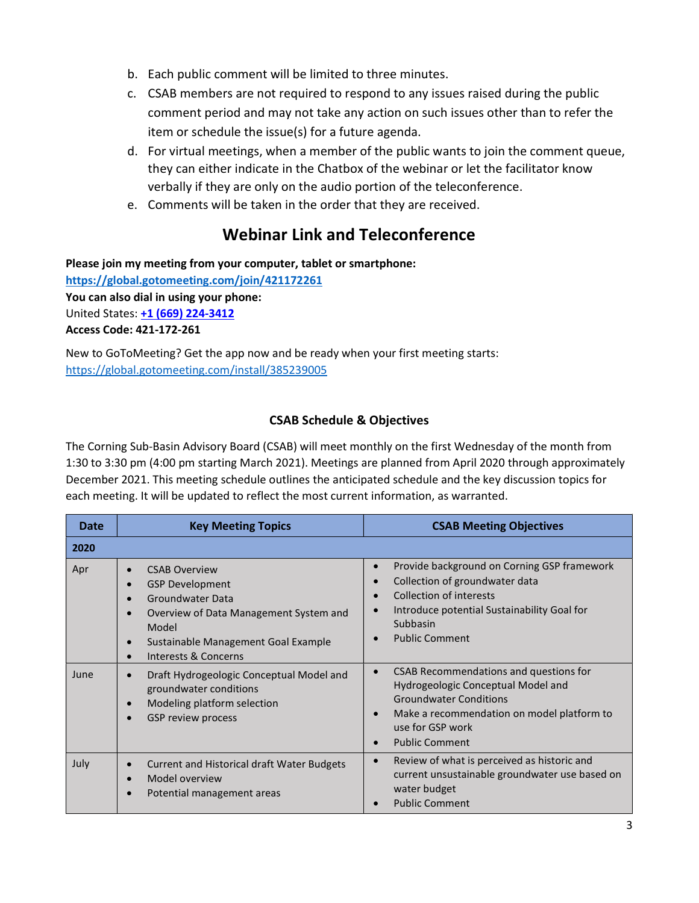- b. Each public comment will be limited to three minutes.
- c. CSAB members are not required to respond to any issues raised during the public comment period and may not take any action on such issues other than to refer the item or schedule the issue(s) for a future agenda.
- d. For virtual meetings, when a member of the public wants to join the comment queue, they can either indicate in the Chatbox of the webinar or let the facilitator know verbally if they are only on the audio portion of the teleconference.
- e. Comments will be taken in the order that they are received.

## Webinar Link and Teleconference

Please join my meeting from your computer, tablet or smartphone: https://global.gotomeeting.com/join/421172261 You can also dial in using your phone: United States: +1 (669) 224-3412 Access Code: 421-172-261

New to GoToMeeting? Get the app now and be ready when your first meeting starts: https://global.gotomeeting.com/install/385239005

#### CSAB Schedule & Objectives

The Corning Sub-Basin Advisory Board (CSAB) will meet monthly on the first Wednesday of the month from 1:30 to 3:30 pm (4:00 pm starting March 2021). Meetings are planned from April 2020 through approximately December 2021. This meeting schedule outlines the anticipated schedule and the key discussion topics for each meeting. It will be updated to reflect the most current information, as warranted.

| Date | <b>Key Meeting Topics</b>                                                                                                                                                                                                                                                 | <b>CSAB Meeting Objectives</b>                                                                                                                                                                           |
|------|---------------------------------------------------------------------------------------------------------------------------------------------------------------------------------------------------------------------------------------------------------------------------|----------------------------------------------------------------------------------------------------------------------------------------------------------------------------------------------------------|
| 2020 |                                                                                                                                                                                                                                                                           |                                                                                                                                                                                                          |
| Apr  | <b>CSAB Overview</b><br>$\bullet$<br><b>GSP Development</b><br>$\bullet$<br><b>Groundwater Data</b><br>$\bullet$<br>Overview of Data Management System and<br>$\bullet$<br>Model<br>Sustainable Management Goal Example<br>$\bullet$<br>Interests & Concerns<br>$\bullet$ | Provide background on Corning GSP framework<br>Collection of groundwater data<br>Collection of interests<br>Introduce potential Sustainability Goal for<br>Subbasin<br><b>Public Comment</b>             |
| June | Draft Hydrogeologic Conceptual Model and<br>$\bullet$<br>groundwater conditions<br>Modeling platform selection<br>$\bullet$<br>GSP review process<br>$\bullet$                                                                                                            | CSAB Recommendations and questions for<br>Hydrogeologic Conceptual Model and<br><b>Groundwater Conditions</b><br>Make a recommendation on model platform to<br>use for GSP work<br><b>Public Comment</b> |
| July | <b>Current and Historical draft Water Budgets</b><br>$\bullet$<br>Model overview<br>$\bullet$<br>Potential management areas<br>$\bullet$                                                                                                                                  | Review of what is perceived as historic and<br>current unsustainable groundwater use based on<br>water budget<br><b>Public Comment</b>                                                                   |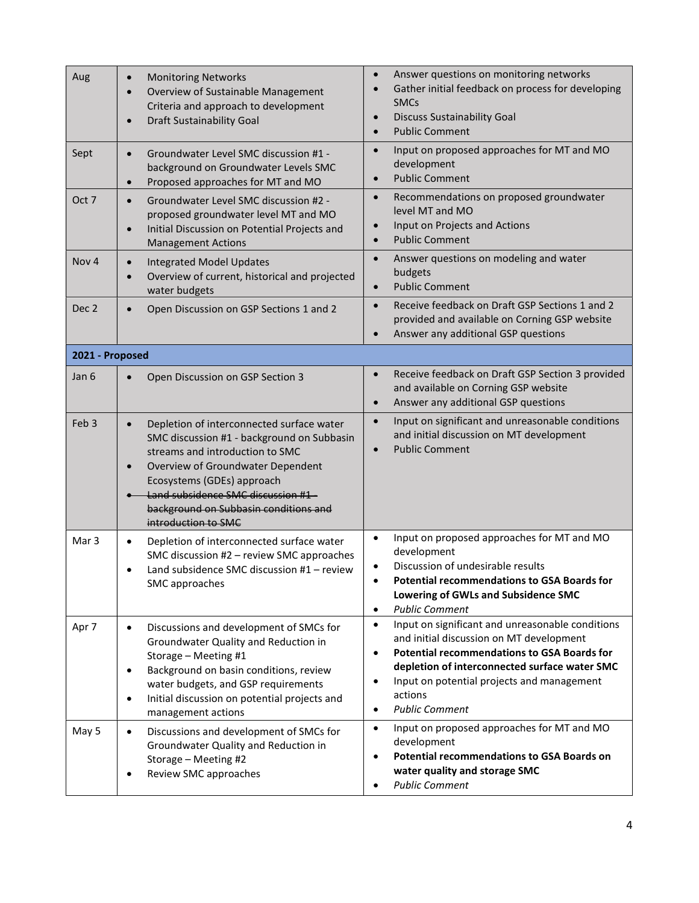| Aug              | <b>Monitoring Networks</b><br>$\bullet$<br>Overview of Sustainable Management<br>$\bullet$<br>Criteria and approach to development<br>Draft Sustainability Goal<br>$\epsilon$                                                                                                                                                 | Answer questions on monitoring networks<br>$\bullet$<br>Gather initial feedback on process for developing<br>$\bullet$<br><b>SMCs</b><br><b>Discuss Sustainability Goal</b><br>$\bullet$<br><b>Public Comment</b><br>$\bullet$                                                                                                            |
|------------------|-------------------------------------------------------------------------------------------------------------------------------------------------------------------------------------------------------------------------------------------------------------------------------------------------------------------------------|-------------------------------------------------------------------------------------------------------------------------------------------------------------------------------------------------------------------------------------------------------------------------------------------------------------------------------------------|
| Sept             | Groundwater Level SMC discussion #1 -<br>$\bullet$<br>background on Groundwater Levels SMC<br>Proposed approaches for MT and MO<br>$\bullet$                                                                                                                                                                                  | Input on proposed approaches for MT and MO<br>$\bullet$<br>development<br><b>Public Comment</b><br>$\bullet$                                                                                                                                                                                                                              |
| Oct 7            | Groundwater Level SMC discussion #2 -<br>$\bullet$<br>proposed groundwater level MT and MO<br>Initial Discussion on Potential Projects and<br>$\bullet$<br><b>Management Actions</b>                                                                                                                                          | Recommendations on proposed groundwater<br>$\bullet$<br>level MT and MO<br>Input on Projects and Actions<br>$\bullet$<br><b>Public Comment</b><br>$\bullet$                                                                                                                                                                               |
| Nov <sub>4</sub> | <b>Integrated Model Updates</b><br>$\bullet$<br>Overview of current, historical and projected<br>water budgets                                                                                                                                                                                                                | Answer questions on modeling and water<br>$\bullet$<br>budgets<br><b>Public Comment</b><br>$\bullet$                                                                                                                                                                                                                                      |
| Dec 2            | Open Discussion on GSP Sections 1 and 2<br>$\bullet$                                                                                                                                                                                                                                                                          | Receive feedback on Draft GSP Sections 1 and 2<br>$\bullet$<br>provided and available on Corning GSP website<br>Answer any additional GSP questions<br>$\bullet$                                                                                                                                                                          |
| 2021 - Proposed  |                                                                                                                                                                                                                                                                                                                               |                                                                                                                                                                                                                                                                                                                                           |
| Jan 6            | Open Discussion on GSP Section 3<br>$\bullet$                                                                                                                                                                                                                                                                                 | Receive feedback on Draft GSP Section 3 provided<br>$\bullet$<br>and available on Corning GSP website<br>Answer any additional GSP questions<br>$\bullet$                                                                                                                                                                                 |
| Feb <sub>3</sub> | Depletion of interconnected surface water<br>$\bullet$<br>SMC discussion #1 - background on Subbasin<br>streams and introduction to SMC<br>Overview of Groundwater Dependent<br>$\bullet$<br>Ecosystems (GDEs) approach<br>Land subsidence SMC discussion #1-<br>background on Subbasin conditions and<br>introduction to SMC | Input on significant and unreasonable conditions<br>$\bullet$<br>and initial discussion on MT development<br><b>Public Comment</b><br>$\bullet$                                                                                                                                                                                           |
| Mar <sub>3</sub> | Depletion of interconnected surface water<br>$\bullet$<br>SMC discussion #2 - review SMC approaches<br>Land subsidence SMC discussion #1 - review<br>SMC approaches                                                                                                                                                           | Input on proposed approaches for MT and MO<br>$\bullet$<br>development<br>Discussion of undesirable results<br>$\bullet$<br><b>Potential recommendations to GSA Boards for</b><br>$\bullet$<br>Lowering of GWLs and Subsidence SMC<br><b>Public Comment</b><br>$\bullet$                                                                  |
| Apr 7            | Discussions and development of SMCs for<br>$\bullet$<br>Groundwater Quality and Reduction in<br>Storage - Meeting #1<br>Background on basin conditions, review<br>$\bullet$<br>water budgets, and GSP requirements<br>Initial discussion on potential projects and<br>$\bullet$<br>management actions                         | Input on significant and unreasonable conditions<br>$\bullet$<br>and initial discussion on MT development<br><b>Potential recommendations to GSA Boards for</b><br>$\bullet$<br>depletion of interconnected surface water SMC<br>Input on potential projects and management<br>$\bullet$<br>actions<br><b>Public Comment</b><br>$\bullet$ |
| May 5            | Discussions and development of SMCs for<br>$\bullet$<br>Groundwater Quality and Reduction in<br>Storage - Meeting #2<br>Review SMC approaches<br>$\bullet$                                                                                                                                                                    | Input on proposed approaches for MT and MO<br>$\bullet$<br>development<br><b>Potential recommendations to GSA Boards on</b><br>$\bullet$<br>water quality and storage SMC<br><b>Public Comment</b><br>$\bullet$                                                                                                                           |